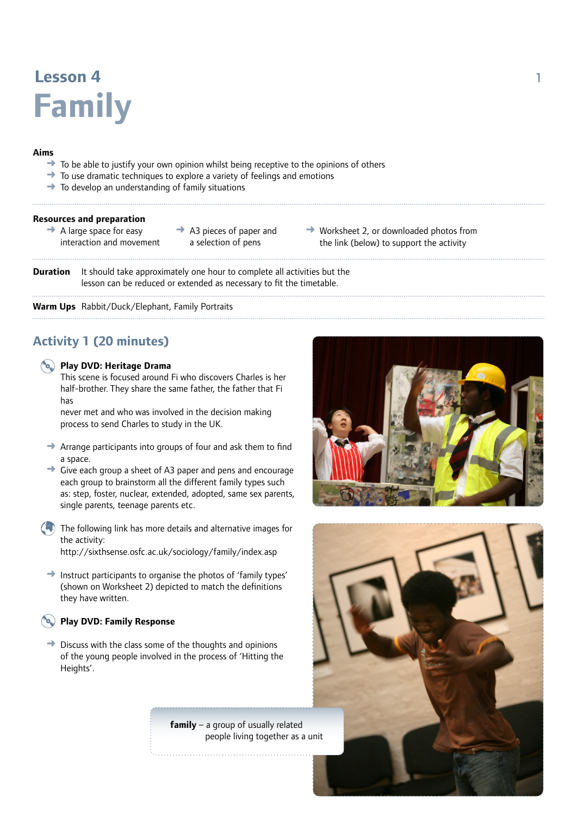# **Lesson 4** 1 **Family**

### **Aims**

- To be able to justify your own opinion whilst being receptive to the opinions of others
- ➜ To use dramatic techniques to explore a variety of feelings and emotions
- $\rightarrow$  To develop an understanding of family situations

#### **Resources and preparation**

- $\rightarrow$  A large space for easy interaction and movement
- $\rightarrow$  A3 pieces of paper and a selection of pens
- $\rightarrow$  Worksheet 2, or downloaded photos from the link (below) to support the activity

**Duration** It should take approximately one hour to complete all activities but the lesson can be reduced or extended as necessary to fit the timetable.

**Warm Ups** Rabbit/Duck/Elephant, Family Portraits

# **Activity 1 (20 minutes)**

### **Play DVD: Heritage Drama**

This scene is focused around Fi who discovers Charles is her half-brother. They share the same father, the father that Fi has

never met and who was involved in the decision making process to send Charles to study in the UK.

- $\rightarrow$  Arrange participants into groups of four and ask them to find a space.
- $\rightarrow$  Give each group a sheet of A3 paper and pens and encourage each group to brainstorm all the different family types such as: step, foster, nuclear, extended, adopted, same sex parents, single parents, teenage parents etc.
- $\left( \begin{matrix} 0 \\ 0 \end{matrix} \right)$ The following link has more details and alternative images for the activity: http://sixthsense.osfc.ac.uk/sociology/family/index.asp
- $\rightarrow$  Instruct participants to organise the photos of 'family types' (shown on Worksheet 2) depicted to match the definitions they have written.

### **Play DVD: Family Response**

 $\rightarrow$  Discuss with the class some of the thoughts and opinions of the young people involved in the process of 'Hitting the Heights'.

> **family** – a group of usually related people living together as a unit